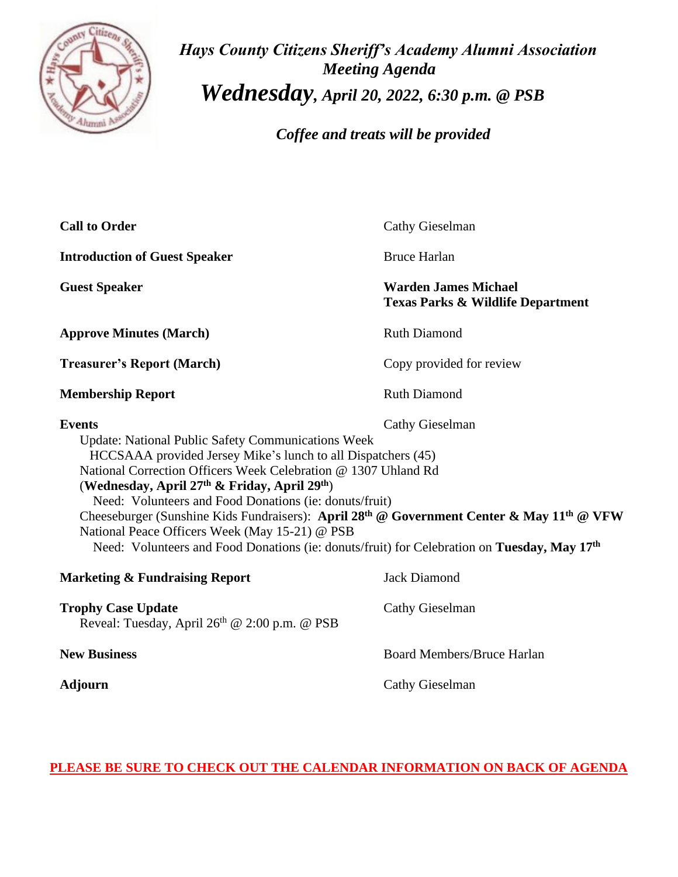

*Hays County Citizens Sheriff's Academy Alumni Association Meeting Agenda Wednesday, April 20, 2022, 6:30 p.m. @ PSB*

 *Coffee and treats will be provided*

| <b>Call to Order</b>                                                                                                                                                                                                                                                                                                                                                                                                                                                                                                                                                                                                                     | <b>Cathy Gieselman</b>                                                      |
|------------------------------------------------------------------------------------------------------------------------------------------------------------------------------------------------------------------------------------------------------------------------------------------------------------------------------------------------------------------------------------------------------------------------------------------------------------------------------------------------------------------------------------------------------------------------------------------------------------------------------------------|-----------------------------------------------------------------------------|
| <b>Introduction of Guest Speaker</b>                                                                                                                                                                                                                                                                                                                                                                                                                                                                                                                                                                                                     | <b>Bruce Harlan</b>                                                         |
| <b>Guest Speaker</b>                                                                                                                                                                                                                                                                                                                                                                                                                                                                                                                                                                                                                     | <b>Warden James Michael</b><br><b>Texas Parks &amp; Wildlife Department</b> |
| <b>Approve Minutes (March)</b>                                                                                                                                                                                                                                                                                                                                                                                                                                                                                                                                                                                                           | <b>Ruth Diamond</b>                                                         |
| <b>Treasurer's Report (March)</b>                                                                                                                                                                                                                                                                                                                                                                                                                                                                                                                                                                                                        | Copy provided for review                                                    |
| <b>Membership Report</b>                                                                                                                                                                                                                                                                                                                                                                                                                                                                                                                                                                                                                 | <b>Ruth Diamond</b>                                                         |
| <b>Events</b><br>Cathy Gieselman<br><b>Update: National Public Safety Communications Week</b><br>HCCSAAA provided Jersey Mike's lunch to all Dispatchers (45)<br>National Correction Officers Week Celebration @ 1307 Uhland Rd<br>(Wednesday, April 27 <sup>th</sup> & Friday, April 29 <sup>th</sup> )<br>Need: Volunteers and Food Donations (ie: donuts/fruit)<br>Cheeseburger (Sunshine Kids Fundraisers): April 28 <sup>th</sup> @ Government Center & May 11 <sup>th</sup> @ VFW<br>National Peace Officers Week (May 15-21) @ PSB<br>Need: Volunteers and Food Donations (ie: donuts/fruit) for Celebration on Tuesday, May 17th |                                                                             |
| <b>Marketing &amp; Fundraising Report</b>                                                                                                                                                                                                                                                                                                                                                                                                                                                                                                                                                                                                | <b>Jack Diamond</b>                                                         |
| <b>Trophy Case Update</b><br>Reveal: Tuesday, April 26 <sup>th</sup> @ 2:00 p.m. @ PSB                                                                                                                                                                                                                                                                                                                                                                                                                                                                                                                                                   | Cathy Gieselman                                                             |
| <b>New Business</b>                                                                                                                                                                                                                                                                                                                                                                                                                                                                                                                                                                                                                      | <b>Board Members/Bruce Harlan</b>                                           |
| <b>Adjourn</b>                                                                                                                                                                                                                                                                                                                                                                                                                                                                                                                                                                                                                           | <b>Cathy Gieselman</b>                                                      |

**PLEASE BE SURE TO CHECK OUT THE CALENDAR INFORMATION ON BACK OF AGENDA**